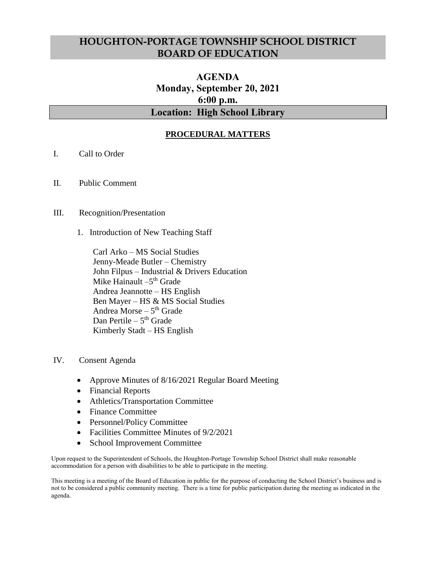## **HOUGHTON-PORTAGE TOWNSHIP SCHOOL DISTRICT BOARD OF EDUCATION**

# **AGENDA Monday, September 20, 2021 6:00 p.m. Location: High School Library**

### **PROCEDURAL MATTERS**

- I. Call to Order
- II. Public Comment

#### III. Recognition/Presentation

1. Introduction of New Teaching Staff

Carl Arko – MS Social Studies Jenny-Meade Butler – Chemistry John Filpus – Industrial & Drivers Education Mike Hainault –5<sup>th</sup> Grade Andrea Jeannotte – HS English Ben Mayer – HS & MS Social Studies Andrea Morse – 5<sup>th</sup> Grade Dan Pertile – 5<sup>th</sup> Grade Kimberly Stadt – HS English

- IV. Consent Agenda
	- Approve Minutes of 8/16/2021 Regular Board Meeting
	- Financial Reports
	- Athletics/Transportation Committee
	- Finance Committee
	- Personnel/Policy Committee
	- Facilities Committee Minutes of  $9/2/2021$
	- School Improvement Committee

Upon request to the Superintendent of Schools, the Houghton-Portage Township School District shall make reasonable accommodation for a person with disabilities to be able to participate in the meeting.

This meeting is a meeting of the Board of Education in public for the purpose of conducting the School District's business and is not to be considered a public community meeting. There is a time for public participation during the meeting as indicated in the agenda.